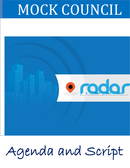# MOCK COUNCIL



# Agenda and Script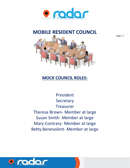

# **MOBILE RESIDENT COUNCIL**



## **MOCK COUNCIL ROLES:**

President Secretary Treasurer Theresa Brown- Member at large Susan Smith- Member at large Mary Contrary- Member at large Betty Benevolent- Member at large

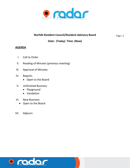

#### **Norfolk Resident Council/Resident Advisory Board Conservation Page 12**

#### **Date: (Today) Time: (Now)**

#### **AGENDA**

- I. Call to Order
- II. Reading of Minutes (previous meeting)
- III. Approval of Minutes
- IV. Reports
	- Open to the Board
- V. Unfinished Business
	- Playground
	- Vandalism
- VI. New Business
	- Open to the Board
- VII. Adjourn

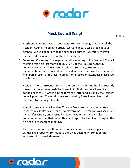

### **Mock Council Script**

Page | 3

- 1. **President-** (\*Sound gavel on desk twice to start meeting.) I hereby call the Resident Council meeting to order. Everyone please take a look at your agenda. We will be following the agenda as printed. Secretary will you please read the minutes from the last meeting?
- 2. **Secretary-** (Secretary) The regular monthly meeting of the Resident Council meeting was held last month at 3:00 P.M., at the Housing Authority community center. The elected President, Secretary, Treasurer and Parliamentarian were present and served in their positions. There were 15 members present at the last meeting. For a record of attendees please see the Secretary.

Resident Thomas Greene informed the council that his mother had recently passed. A motion was made by Susan Smith that the council send its condolences to Mr. Greene in the form of a letter and a visit by the resident council president. The motion was seconded by Betty Benevolent, and approved by the majority vote.

A motion was made by Resident Theresa Brown to create a committee to research residents' desire for a new playground. The motion was seconded by Jennifer January and passed by majority vote. Ms. Brown also volunteered to chair that committee, and report back on her findings at the next regular scheduled meeting.

There was a report that there were some children throwing eggs and vandalizing property. To this date there has been no information that suggests who those kids were.

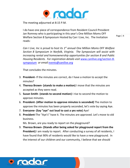

The meeting adjourned at 8:15 P.M.

I do have one piece of correspondence from Resident Council President Jan Romney who is participating in this year's One Million Moms OFF Welfare Section 8 Symposium Hosted by Can I Live, Inc. The Invitation reads:

Page | 4

*Can I Live, Inc is proud to host its 1 st annual One Million Moms OFF Welfare Section 8 Symposium in Norfolk, Virginia. The Symposium will assist with increasing rental and homeownership opportunities for section 8 and Public Housing Residents. For registration details visit* [www.canilive.org/section-8](http://www.canilivecdc.org/rclc) [symposium](http://www.canilivecdc.org/rclc) *or email [events@canilive.org](mailto:events@canilive.org)* 

That concludes the minutes.

- 3. **President-** If the minutes are correct, do I have a motion to accept the minutes?
- 4. **Theresa Brown- (stands to make a motion)** I move that the minutes are accepted as they were read.
- 5. **Susan Smith (stands to second motion)** I rise to second the motion to approve minutes.
- 6. **President- (After motion to approve minutes is seconded)** The motion to approve the minutes has been properly seconded, let's vote by saying Aye.
- 7. **Everyone- (Say "aye" out loud to cast a yes vote)** Aye!
- 8. **President-**The "Aye's" have it. The minutes are approved. Let's move to old business.

Ms. Brown, are you ready to report on the playground?

9. **Theresa Brown- (Stands after being asked for playground report from the President)** I am ready to report. After conducting a survey of all residents, I have found that 90% of residents would like to have a new playground. In the interest of our children and our community, I believe that we should

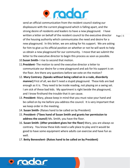

send an official communication from the resident council stating our displeasure with the current playground which is falling apart, and the strong desire of residents and leaders to have a new playground. I have written a letter on behalf of the resident council to the executive director of the housing authority which communicates the need and desire for a new playground. In this letter, we are asking for his support. We are asking for him to give us his official position on whether or not he will work to help us obtain a new playground for our community. I move that we submit the letter to the executive director to begin this process as soon as possible.

- 10.**Susan Smith-** I rise to second that motion.
- 11.**President-** The motion to send the executive director a letter to communicate our desire for a new playground and ask for his support is on the floor. Are there any questions before we vote on the motion?
- 12. **Mary Contrary- (Speaks without being called on in a rude, disorderly manner)** First of all, we don't need a stupid playground. These kids are bad enough as it is. They need to be inside reading, not playing on a swing set. I am sick of these bad kids. My apartment is right beside the playground, and I know firsthand the trouble that it can cause.
- 13. **President-** Mary, please keep in mind that you must raise your hand and be called on by me before you address the council. It is very important that we keep order in the meeting.
- 14. **Susan Smith-** (Raises hand to be called on by President)
- 15. **President- (\*Sees hand of Susan Smith and grants her permission to address the council**) Ms. Smith, you have the floor.
- 16. **Susan Smith- (After president gives her the floor)** Mary, you are always so contrary. You know these kids need a safe place to play and it would be good to have some equipment where adults can exercise and have fun as well.
- 17. **Betty Benevolent- (Raises hand to be called on by President)**

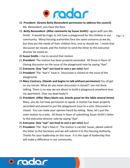

- 18. **President- (Grants Betty Benevolent permission to address the council)** Ms. Benevolent, you have the floor.
- 19. **Betty Benevolent- (After comments by Susan Smith)** I agree with you Ms. Smith. It would be tragic to not have a playground for the children in our community. Many housing authorities face the same concerns as we do, but they put the needs of their children first, and so should we. I move that discussion be closed, and the motion to send the letter to the executive director be voted on.

- 20.**Susan Smith-** I rise to second that motion.
- 21.**President-** The motion has been properly seconded. All those in favor of closing discussion on the issue of the playground vote by saying "Aye".
- 22.**Everyone- (Say "aye" out loud to cast a yes vote)** Aye!
- 23.**President-** The "Aye's" have it. Discussion is closed on the issue of the playground.
- 24.**Mary Contrary- (Stands and begins to talk without permission)** You all get on my nerves. What do you mean discussion is closed? I am not done talking. There is no way we are about to build a playground anywhere near my apartment. Over my dead body!!!
- 25.**President- (After Mary blurts out, knocks gavel on the table several times)** Mary, you do not have permission to speak. A motion has been properly seconded and passed to put the playground issue to a vote. Discussion is closed. You can make your opinion heard by voting. Now, let's put the main motion to a vote. All those in favor of submitting Susan Smith's letter to the executive director vote by saying "Aye".
- 26.**Everyone- (Say "aye" out loud to cast a yes vote)** Aye!
- 27.**President-** The "Aye's have it'. The motion is carried. Susan, please submit the letter to the Secretary and we will submit it to the Housing Authority. Thanks for your leadership on this issue. It is this type of leadership that will make a difference in our community.

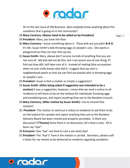

On to the last issue of Old Business- does anybody know anything about the vandalism that is going on in the community?

28.**Mary Contrary- (Raises hand to be called on by President)**

- 29.**President-** Mary, you have the floor.
- 30.**Mary Contrary-** I know something about it. These kids are just plain **B-A-D.**  It's Ms. Susan Smith's kids throwing eggs on people's cars. She wants a playground so they can tear that up too.
- 31.**Susan Smith-** Mary, please don't accuse my kids of anything that you are not sure of. My kids did not do this, but I can assure you of one thing, if I find out they did I will take care of it. Instead of making false accusations when no one really knows who did it, I suggest that we start a neighborhood watch so that we can find out exactly who is throwing eggs on people's cars.
- 32.**President-** Susan is that a motion or simply a suggestion?
- 33.**Susan Smith- (After being asked if suggestion was intended to be a motion)** It was a suggestion; however, I move that we send a notice to all residents to tell them to be on the lookout for individuals throwing eggs and vandalizing cars, and report anything they see to the Resident Council.
- 34.**Mary Contrary- (After motion by Susan Smith)** I rise to second that motion!!
- 35. **President-** The motion to send out a notice to residents to ask them to be on the lookout for vandals and report anything they see to the Resident Advisory Board has been moved and properly seconded. Is there any discussion? **(\*Pauses)** Since there is no discussion, let's have a vote. All in favor say "Aye".
- 36.**Everyone-** (Say "aye" out loud to cast a yes vote) Aye!
- 37.**President-** The "Aye's" have it the motion is carried. Secretary, please craft a letter for my review to be delivered to residents regarding vandalism.

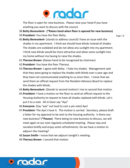

The floor is open for new business. Please raise your hand if you have anything you want to discuss with the council.

- 38.**Betty Benevolent- (\*Raises hand when floor is opened for new business)**
- 39.**President-** You have the floor Betty.

- 40.**Betty Benevolent-** (stands to address council) I have an issue with the shades in my apartment. I think we should have blinds instead of shades. The shades are outdated and do not allow any sunlight into my apartment. I think new blinds would be more attractive and allow some sunlight into my home without my having to raise the shades.
- 41.**Theresa Brown-** (Raises hand to be recognized by chairman)
- 42.**President-** You have the floor Theresa.
- 43.**Theresa Brown-** I agree with Betty. I hate my shades. Management said that they were going to replace the shades with blinds over a year ago and they have not communicated anything to us since then. I move that we send them an official request from the Resident Advisory Board to replace the shades with blinds.
- 44.**Betty Benevolent-** (Stands to second motion) I rise to second that motion.
- 45.**President-** I have a motion on the floor to send an official request to the Housing Authority to request to have all shades replaced with blinds. Let's put it to a vote. All in favor say "Aye"
- 46.**Everyone-** (Say "aye" out loud to cast a yes vote) Aye!
- 47.**President-** The Aye's have it. The motion is carried. Secretary, please draft a letter for my approval to be sent to the housing authority. Is there any new business? (**\*Pauses**) There being no new business to discuss, we will meet again at our next regularly scheduled meeting. Please stay and socialize briefly and enjoy some refreshments. Do we have a motion to adjourn the meeting?
- 48.**Susan Smith-** I move that we adjourn tonight's meeting.
- 49.**Theresa Brown-** I second that motion.

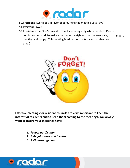

- 50.**President-** Everybody in favor of adjourning the meeting vote "aye".
- 51.**Everyone- Aye!**
- Page | 9 52.**President-** The "Aye's have it". Thanks to everybody who attended. Please continue your work to make sure that our neighborhood is clean, safe, healthy, and happy. This meeting is adjourned. (Hits gavel on table one time.)



**Effective meetings for resident councils are very important to keep the interest of residents and to keep them coming to the meetings. You always want to insure your meetings have:**

- *1. Proper notification*
- *2. A Regular time and location*
- *3. A Planned agenda*